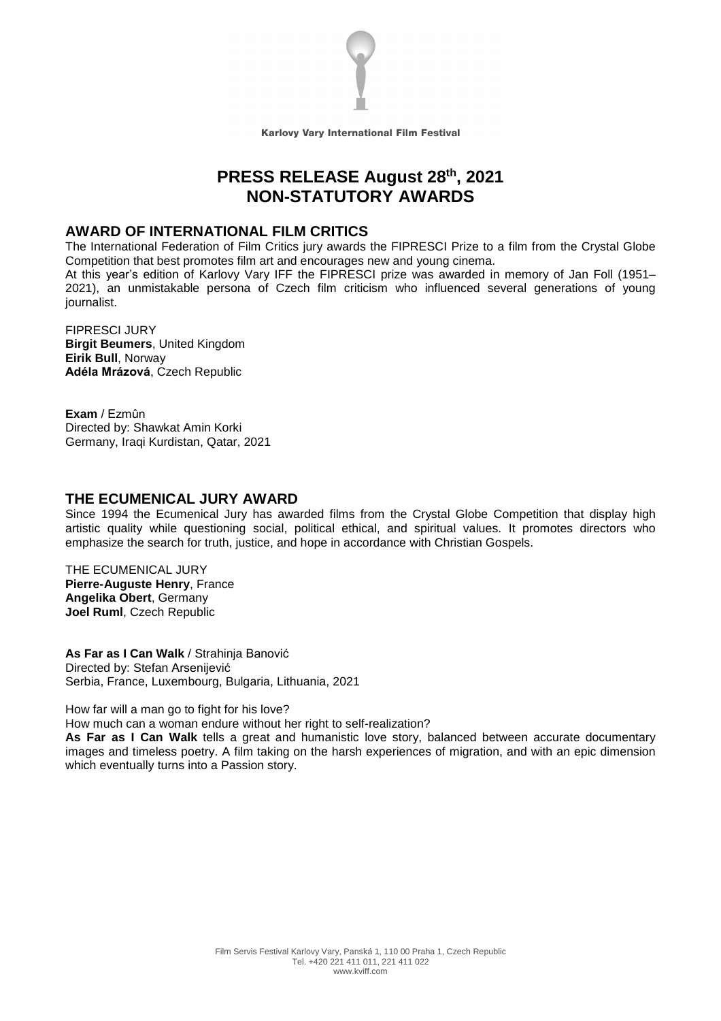

Karlovy Vary International Film Festival

# **PRESS RELEASE August 28th , 2021 NON-STATUTORY AWARDS**

## **AWARD OF INTERNATIONAL FILM CRITICS**

The International Federation of Film Critics jury awards the FIPRESCI Prize to a film from the Crystal Globe Competition that best promotes film art and encourages new and young cinema.

At this year's edition of Karlovy Vary IFF the FIPRESCI prize was awarded in memory of Jan Foll (1951– 2021), an unmistakable persona of Czech film criticism who influenced several generations of young journalist.

FIPRESCI JURY **Birgit Beumers**, United Kingdom **Eirik Bull**, Norway **Adéla Mrázová**, Czech Republic

**Exam** / Ezmûn Directed by: Shawkat Amin Korki Germany, Iraqi Kurdistan, Qatar, 2021

### **THE ECUMENICAL JURY AWARD**

Since 1994 the Ecumenical Jury has awarded films from the Crystal Globe Competition that display high artistic quality while questioning social, political ethical, and spiritual values. It promotes directors who emphasize the search for truth, justice, and hope in accordance with Christian Gospels.

THE ECUMENICAL JURY **Pierre-Auguste Henry**, France **Angelika Obert**, Germany **Joel Ruml**, Czech Republic

**As Far as I Can Walk** / Strahinja Banović Directed by: Stefan Arsenijević Serbia, France, Luxembourg, Bulgaria, Lithuania, 2021

How far will a man go to fight for his love?

How much can a woman endure without her right to self-realization?

**As Far as I Can Walk** tells a great and humanistic love story, balanced between accurate documentary images and timeless poetry. A film taking on the harsh experiences of migration, and with an epic dimension which eventually turns into a Passion story.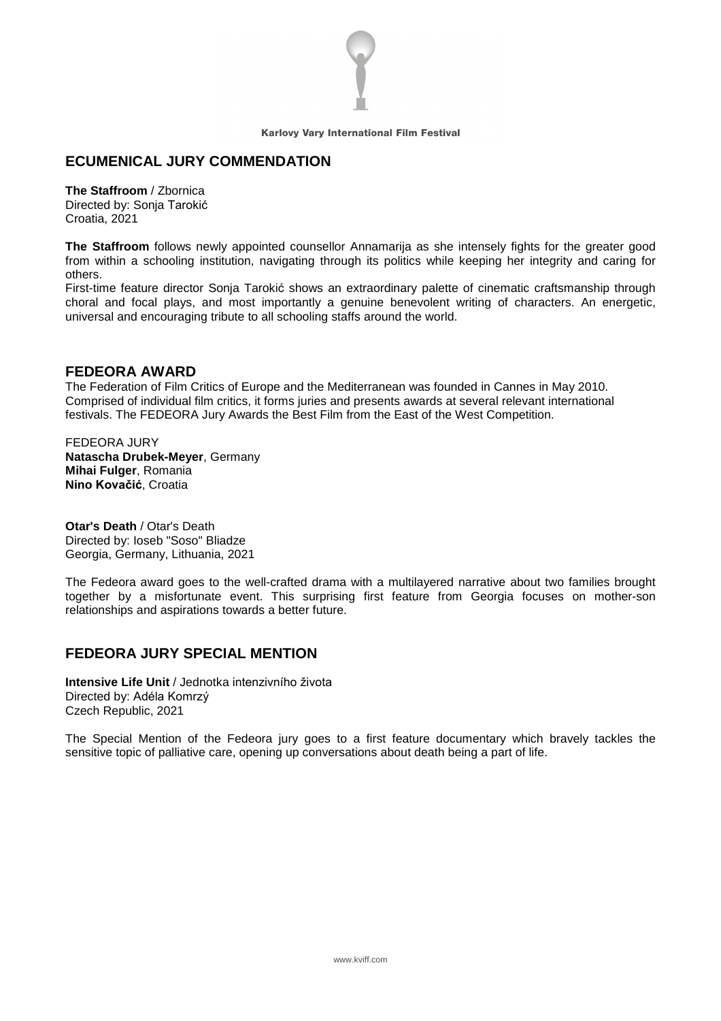

Karlovy Vary International Film Festival

### **ECUMENICAL JURY COMMENDATION**

**The Staffroom** / Zbornica Directed by: Sonja Tarokić Croatia, 2021

**The Staffroom** follows newly appointed counsellor Annamarija as she intensely fights for the greater good from within a schooling institution, navigating through its politics while keeping her integrity and caring for others.

First-time feature director Sonja Tarokić shows an extraordinary palette of cinematic craftsmanship through choral and focal plays, and most importantly a genuine benevolent writing of characters. An energetic, universal and encouraging tribute to all schooling staffs around the world.

### **FEDEORA AWARD**

The Federation of Film Critics of Europe and the Mediterranean was founded in Cannes in May 2010. Comprised of individual film critics, it forms juries and presents awards at several relevant international festivals. The FEDEORA Jury Awards the Best Film from the East of the West Competition.

FEDEORA JURY **Natascha Drubek-Meyer**, Germany **Mihai Fulger**, Romania **Nino Kovačić**, Croatia

**Otar's Death** / Otar's Death Directed by: Ioseb "Soso" Bliadze Georgia, Germany, Lithuania, 2021

The Fedeora award goes to the well-crafted drama with a multilayered narrative about two families brought together by a misfortunate event. This surprising first feature from Georgia focuses on mother-son relationships and aspirations towards a better future.

## **FEDEORA JURY SPECIAL MENTION**

**Intensive Life Unit** / Jednotka intenzivního života Directed by: Adéla Komrzý Czech Republic, 2021

The Special Mention of the Fedeora jury goes to a first feature documentary which bravely tackles the sensitive topic of palliative care, opening up conversations about death being a part of life.